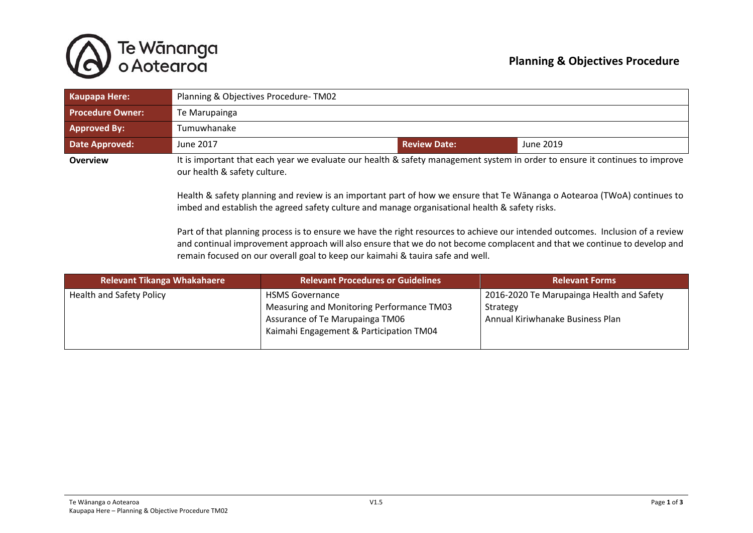## **Planning & Objectives Procedure**



| Kaupapa Here:           | Planning & Objectives Procedure-TM02                                                                                                                        |                     |           |
|-------------------------|-------------------------------------------------------------------------------------------------------------------------------------------------------------|---------------------|-----------|
| <b>Procedure Owner:</b> | Te Marupainga                                                                                                                                               |                     |           |
| Approved By:            | Tumuwhanake                                                                                                                                                 |                     |           |
| <b>Date Approved:</b>   | June 2017                                                                                                                                                   | <b>Review Date:</b> | June 2019 |
| <b>Overview</b>         | It is important that each year we evaluate our health & safety management system in order to ensure it continues to improve<br>our health & safety culture. |                     |           |

Health & safety planning and review is an important part of how we ensure that Te Wānanga o Aotearoa (TWoA) continues to imbed and establish the agreed safety culture and manage organisational health & safety risks.

Part of that planning process is to ensure we have the right resources to achieve our intended outcomes. Inclusion of a review and continual improvement approach will also ensure that we do not become complacent and that we continue to develop and remain focused on our overall goal to keep our kaimahi & tauira safe and well.

| <b>Relevant Tikanga Whakahaere</b> | <b>Relevant Procedures or Guidelines</b>                                                                                                          | <b>Relevant Forms</b>                                                                     |
|------------------------------------|---------------------------------------------------------------------------------------------------------------------------------------------------|-------------------------------------------------------------------------------------------|
| <b>Health and Safety Policy</b>    | <b>HSMS Governance</b><br>Measuring and Monitoring Performance TM03<br>Assurance of Te Marupainga TM06<br>Kaimahi Engagement & Participation TM04 | 2016-2020 Te Marupainga Health and Safety<br>Strategy<br>Annual Kiriwhanake Business Plan |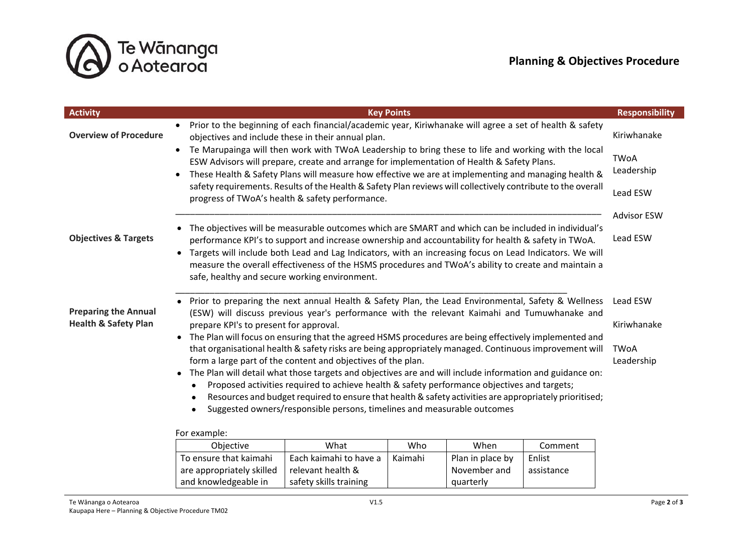

| <b>Activity</b>                                                |                                                                                                                                                                                                                                                                                                                                     |                                                                                                       | <b>Key Points</b> |                            |            | <b>Responsibility</b>   |
|----------------------------------------------------------------|-------------------------------------------------------------------------------------------------------------------------------------------------------------------------------------------------------------------------------------------------------------------------------------------------------------------------------------|-------------------------------------------------------------------------------------------------------|-------------------|----------------------------|------------|-------------------------|
| <b>Overview of Procedure</b>                                   | Prior to the beginning of each financial/academic year, Kiriwhanake will agree a set of health & safety<br>$\bullet$<br>objectives and include these in their annual plan.<br>Te Marupainga will then work with TWoA Leadership to bring these to life and working with the local<br>$\bullet$                                      |                                                                                                       |                   | Kiriwhanake<br><b>TWoA</b> |            |                         |
|                                                                | ESW Advisors will prepare, create and arrange for implementation of Health & Safety Plans.<br>These Health & Safety Plans will measure how effective we are at implementing and managing health &<br>$\bullet$                                                                                                                      |                                                                                                       |                   | Leadership                 |            |                         |
|                                                                | safety requirements. Results of the Health & Safety Plan reviews will collectively contribute to the overall<br>progress of TWoA's health & safety performance.                                                                                                                                                                     |                                                                                                       |                   |                            | Lead ESW   |                         |
|                                                                |                                                                                                                                                                                                                                                                                                                                     |                                                                                                       |                   |                            |            | <b>Advisor ESW</b>      |
| <b>Objectives &amp; Targets</b>                                | The objectives will be measurable outcomes which are SMART and which can be included in individual's<br>performance KPI's to support and increase ownership and accountability for health & safety in TWoA.<br>Targets will include both Lead and Lag Indicators, with an increasing focus on Lead Indicators. We will<br>$\bullet$ |                                                                                                       |                   |                            |            | Lead ESW                |
|                                                                | measure the overall effectiveness of the HSMS procedures and TWoA's ability to create and maintain a<br>safe, healthy and secure working environment.                                                                                                                                                                               |                                                                                                       |                   |                            |            |                         |
| <b>Preparing the Annual</b><br><b>Health &amp; Safety Plan</b> | Prior to preparing the next annual Health & Safety Plan, the Lead Environmental, Safety & Wellness<br>(ESW) will discuss previous year's performance with the relevant Kaimahi and Tumuwhanake and<br>prepare KPI's to present for approval.                                                                                        |                                                                                                       |                   |                            |            | Lead ESW<br>Kiriwhanake |
|                                                                |                                                                                                                                                                                                                                                                                                                                     | The Plan will focus on ensuring that the agreed HSMS procedures are being effectively implemented and |                   |                            |            |                         |
|                                                                | that organisational health & safety risks are being appropriately managed. Continuous improvement will<br>form a large part of the content and objectives of the plan.<br>The Plan will detail what those targets and objectives are and will include information and guidance on:                                                  |                                                                                                       |                   |                            |            | <b>TWoA</b>             |
|                                                                |                                                                                                                                                                                                                                                                                                                                     |                                                                                                       |                   |                            |            | Leadership              |
|                                                                | $\bullet$<br>Proposed activities required to achieve health & safety performance objectives and targets;<br>$\bullet$                                                                                                                                                                                                               |                                                                                                       |                   |                            |            |                         |
|                                                                | Resources and budget required to ensure that health & safety activities are appropriately prioritised;<br>$\bullet$<br>Suggested owners/responsible persons, timelines and measurable outcomes<br>$\bullet$                                                                                                                         |                                                                                                       |                   |                            |            |                         |
|                                                                |                                                                                                                                                                                                                                                                                                                                     |                                                                                                       |                   |                            |            |                         |
|                                                                | For example:                                                                                                                                                                                                                                                                                                                        |                                                                                                       |                   |                            |            |                         |
|                                                                | Objective                                                                                                                                                                                                                                                                                                                           | What                                                                                                  | Who               | When                       | Comment    |                         |
|                                                                | To ensure that kaimahi                                                                                                                                                                                                                                                                                                              | Each kaimahi to have a                                                                                | Kaimahi           | Plan in place by           | Enlist     |                         |
|                                                                | are appropriately skilled                                                                                                                                                                                                                                                                                                           | relevant health &                                                                                     |                   | November and               | assistance |                         |

and knowledgeable in

quarterly

safety skills training